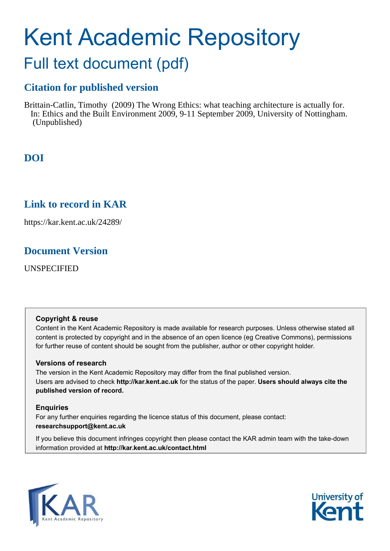# Kent Academic Repository

## Full text document (pdf)

## **Citation for published version**

Brittain-Catlin, Timothy (2009) The Wrong Ethics: what teaching architecture is actually for. In: Ethics and the Built Environment 2009, 9-11 September 2009, University of Nottingham. (Unpublished)

## **DOI**

## **Link to record in KAR**

https://kar.kent.ac.uk/24289/

### **Document Version**

UNSPECIFIED

#### **Copyright & reuse**

Content in the Kent Academic Repository is made available for research purposes. Unless otherwise stated all content is protected by copyright and in the absence of an open licence (eg Creative Commons), permissions for further reuse of content should be sought from the publisher, author or other copyright holder.

#### **Versions of research**

The version in the Kent Academic Repository may differ from the final published version. Users are advised to check **http://kar.kent.ac.uk** for the status of the paper. **Users should always cite the published version of record.**

#### **Enquiries**

For any further enquiries regarding the licence status of this document, please contact: **researchsupport@kent.ac.uk**

If you believe this document infringes copyright then please contact the KAR admin team with the take-down information provided at **http://kar.kent.ac.uk/contact.html**



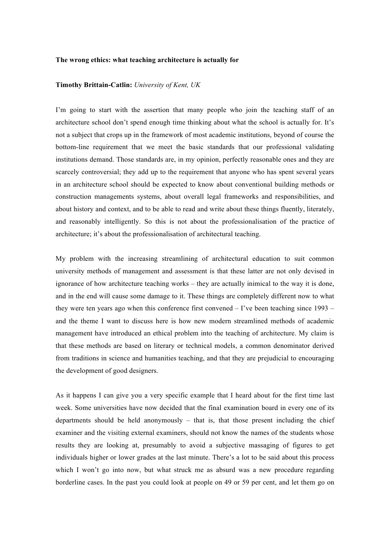#### **The wrong ethics: what teaching architecture is actually for**

#### **Timothy Brittain-Catlin:** *University of Kent, UK*

I'm going to start with the assertion that many people who join the teaching staff of an architecture school don't spend enough time thinking about what the school is actually for. It's not a subject that crops up in the framework of most academic institutions, beyond of course the bottom-line requirement that we meet the basic standards that our professional validating institutions demand. Those standards are, in my opinion, perfectly reasonable ones and they are scarcely controversial; they add up to the requirement that anyone who has spent several years in an architecture school should be expected to know about conventional building methods or construction managements systems, about overall legal frameworks and responsibilities, and about history and context, and to be able to read and write about these things fluently, literately, and reasonably intelligently. So this is not about the professionalisation of the practice of architecture; it's about the professionalisation of architectural teaching.

My problem with the increasing streamlining of architectural education to suit common university methods of management and assessment is that these latter are not only devised in ignorance of how architecture teaching works – they are actually inimical to the way it is done, and in the end will cause some damage to it. These things are completely different now to what they were ten years ago when this conference first convened  $-$  I've been teaching since 1993 – and the theme I want to discuss here is how new modern streamlined methods of academic management have introduced an ethical problem into the teaching of architecture. My claim is that these methods are based on literary or technical models, a common denominator derived from traditions in science and humanities teaching, and that they are prejudicial to encouraging the development of good designers.

As it happens I can give you a very specific example that I heard about for the first time last week. Some universities have now decided that the final examination board in every one of its departments should be held anonymously – that is, that those present including the chief examiner and the visiting external examiners, should not know the names of the students whose results they are looking at, presumably to avoid a subjective massaging of figures to get individuals higher or lower grades at the last minute. There's a lot to be said about this process which I won't go into now, but what struck me as absurd was a new procedure regarding borderline cases. In the past you could look at people on 49 or 59 per cent, and let them go on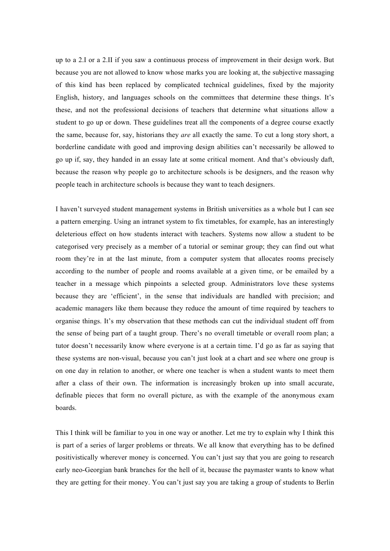up to a 2.I or a 2.II if you saw a continuous process of improvement in their design work. But because you are not allowed to know whose marks you are looking at, the subjective massaging of this kind has been replaced by complicated technical guidelines, fixed by the majority English, history, and languages schools on the committees that determine these things. It's these, and not the professional decisions of teachers that determine what situations allow a student to go up or down. These guidelines treat all the components of a degree course exactly the same, because for, say, historians they *are* all exactly the same. To cut a long story short, a borderline candidate with good and improving design abilities can't necessarily be allowed to go up if, say, they handed in an essay late at some critical moment. And that's obviously daft, because the reason why people go to architecture schools is be designers, and the reason why people teach in architecture schools is because they want to teach designers.

I haven't surveyed student management systems in British universities as a whole but I can see a pattern emerging. Using an intranet system to fix timetables, for example, has an interestingly deleterious effect on how students interact with teachers. Systems now allow a student to be categorised very precisely as a member of a tutorial or seminar group; they can find out what room they're in at the last minute, from a computer system that allocates rooms precisely according to the number of people and rooms available at a given time, or be emailed by a teacher in a message which pinpoints a selected group. Administrators love these systems because they are 'efficient', in the sense that individuals are handled with precision; and academic managers like them because they reduce the amount of time required by teachers to organise things. It's my observation that these methods can cut the individual student off from the sense of being part of a taught group. There's no overall timetable or overall room plan; a tutor doesn't necessarily know where everyone is at a certain time. I'd go as far as saying that these systems are non-visual, because you can't just look at a chart and see where one group is on one day in relation to another, or where one teacher is when a student wants to meet them after a class of their own. The information is increasingly broken up into small accurate, definable pieces that form no overall picture, as with the example of the anonymous exam boards.

This I think will be familiar to you in one way or another. Let me try to explain why I think this is part of a series of larger problems or threats. We all know that everything has to be defined positivistically wherever money is concerned. You can't just say that you are going to research early neo-Georgian bank branches for the hell of it, because the paymaster wants to know what they are getting for their money. You can't just say you are taking a group of students to Berlin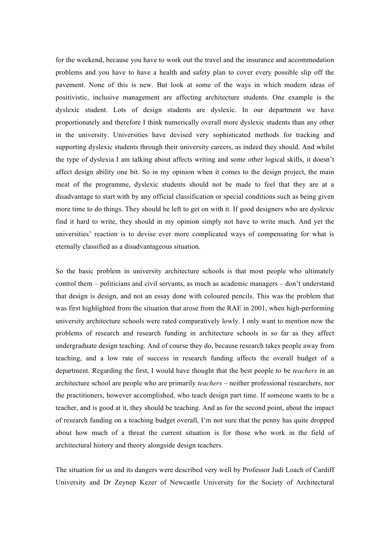for the weekend, because you have to work out the travel and the insurance and accommodation problems and you have to have a health and safety plan to cover every possible slip off the pavement. None of this is new. But look at some of the ways in which modern ideas of positivistic, inclusive management are affecting architecture students. One example is the dyslexic student. Lots of design students are dyslexic. In our department we have proportionately and therefore I think numerically overall more dyslexic students than any other in the university. Universities have devised very sophisticated methods for tracking and supporting dyslexic students through their university careers, as indeed they should. And whilst the type of dyslexia I am talking about affects writing and some other logical skills, it doesn't affect design ability one bit. So in my opinion when it comes to the design project, the main meat of the programme, dyslexic students should not be made to feel that they are at a disadvantage to start with by any official classification or special conditions such as being given more time to do things. They should be left to get on with it. If good designers who are dyslexic find it hard to write, they should in my opinion simply not have to write much. And yet the universities' reaction is to devise ever more complicated ways of compensating for what is eternally classified as a disadvantageous situation.

So the basic problem in university architecture schools is that most people who ultimately control them – politicians and civil servants, as much as academic managers – don't understand that design is design, and not an essay done with coloured pencils. This was the problem that was first highlighted from the situation that arose from the RAE in 2001, when high-performing university architecture schools were rated comparatively lowly. I only want to mention now the problems of research and research funding in architecture schools in so far as they affect undergraduate design teaching. And of course they do, because research takes people away from teaching, and a low rate of success in research funding affects the overall budget of a department. Regarding the first, I would have thought that the best people to be *teachers* in an architecture school are people who are primarily *teachers* – neither professional researchers, nor the practitioners, however accomplished, who teach design part time. If someone wants to be a teacher, and is good at it, they should be teaching. And as for the second point, about the impact of research funding on a teaching budget overall, I'm not sure that the penny has quite dropped about how much of a threat the current situation is for those who work in the field of architectural history and theory alongside design teachers.

The situation for us and its dangers were described very well by Professor Judi Loach of Cardiff University and Dr Zeynep Kezer of Newcastle University for the Society of Architectural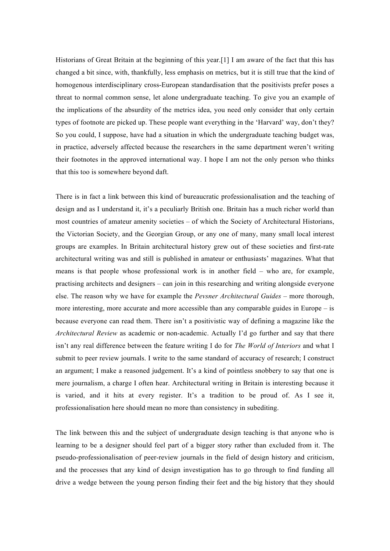Historians of Great Britain at the beginning of this year.[1] I am aware of the fact that this has changed a bit since, with, thankfully, less emphasis on metrics, but it is still true that the kind of homogenous interdisciplinary cross-European standardisation that the positivists prefer poses a threat to normal common sense, let alone undergraduate teaching. To give you an example of the implications of the absurdity of the metrics idea, you need only consider that only certain types of footnote are picked up. These people want everything in the 'Harvard' way, don't they? So you could, I suppose, have had a situation in which the undergraduate teaching budget was, in practice, adversely affected because the researchers in the same department weren't writing their footnotes in the approved international way. I hope I am not the only person who thinks that this too is somewhere beyond daft.

There is in fact a link between this kind of bureaucratic professionalisation and the teaching of design and as I understand it, it's a peculiarly British one. Britain has a much richer world than most countries of amateur amenity societies – of which the Society of Architectural Historians, the Victorian Society, and the Georgian Group, or any one of many, many small local interest groups are examples. In Britain architectural history grew out of these societies and first-rate architectural writing was and still is published in amateur or enthusiasts' magazines. What that means is that people whose professional work is in another field – who are, for example, practising architects and designers – can join in this researching and writing alongside everyone else. The reason why we have for example the *Pevsner Architectural Guides* – more thorough, more interesting, more accurate and more accessible than any comparable guides in Europe – is because everyone can read them. There isn't a positivistic way of defining a magazine like the *Architectural Review* as academic or non-academic. Actually I'd go further and say that there isn't any real difference between the feature writing I do for *The World of Interiors* and what I submit to peer review journals. I write to the same standard of accuracy of research; I construct an argument; I make a reasoned judgement. It's a kind of pointless snobbery to say that one is mere journalism, a charge I often hear. Architectural writing in Britain is interesting because it is varied, and it hits at every register. It's a tradition to be proud of. As I see it, professionalisation here should mean no more than consistency in subediting.

The link between this and the subject of undergraduate design teaching is that anyone who is learning to be a designer should feel part of a bigger story rather than excluded from it. The pseudo-professionalisation of peer-review journals in the field of design history and criticism, and the processes that any kind of design investigation has to go through to find funding all drive a wedge between the young person finding their feet and the big history that they should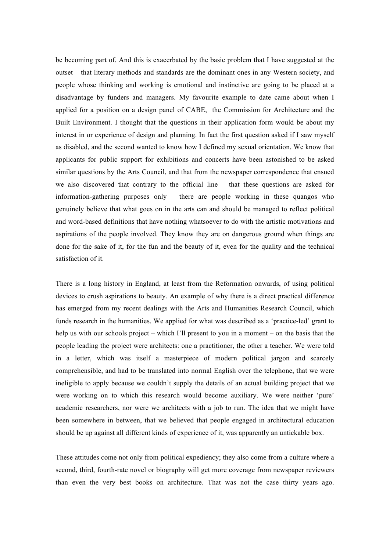be becoming part of. And this is exacerbated by the basic problem that I have suggested at the outset – that literary methods and standards are the dominant ones in any Western society, and people whose thinking and working is emotional and instinctive are going to be placed at a disadvantage by funders and managers. My favourite example to date came about when I applied for a position on a design panel of CABE, the Commission for Architecture and the Built Environment. I thought that the questions in their application form would be about my interest in or experience of design and planning. In fact the first question asked if I saw myself as disabled, and the second wanted to know how I defined my sexual orientation. We know that applicants for public support for exhibitions and concerts have been astonished to be asked similar questions by the Arts Council, and that from the newspaper correspondence that ensued we also discovered that contrary to the official line – that these questions are asked for information-gathering purposes only – there are people working in these quangos who genuinely believe that what goes on in the arts can and should be managed to reflect political and word-based definitions that have nothing whatsoever to do with the artistic motivations and aspirations of the people involved. They know they are on dangerous ground when things are done for the sake of it, for the fun and the beauty of it, even for the quality and the technical satisfaction of it.

There is a long history in England, at least from the Reformation onwards, of using political devices to crush aspirations to beauty. An example of why there is a direct practical difference has emerged from my recent dealings with the Arts and Humanities Research Council, which funds research in the humanities. We applied for what was described as a 'practice-led' grant to help us with our schools project – which I'll present to you in a moment – on the basis that the people leading the project were architects: one a practitioner, the other a teacher. We were told in a letter, which was itself a masterpiece of modern political jargon and scarcely comprehensible, and had to be translated into normal English over the telephone, that we were ineligible to apply because we couldn't supply the details of an actual building project that we were working on to which this research would become auxiliary. We were neither 'pure' academic researchers, nor were we architects with a job to run. The idea that we might have been somewhere in between, that we believed that people engaged in architectural education should be up against all different kinds of experience of it, was apparently an untickable box.

These attitudes come not only from political expediency; they also come from a culture where a second, third, fourth-rate novel or biography will get more coverage from newspaper reviewers than even the very best books on architecture. That was not the case thirty years ago.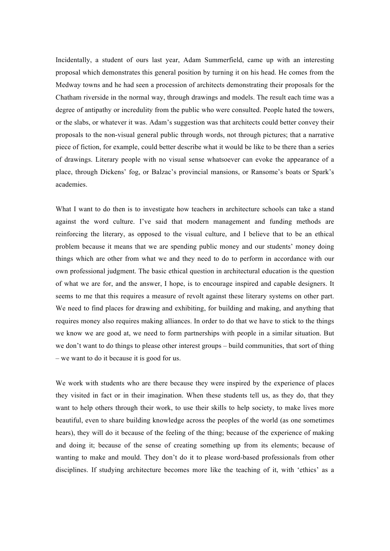Incidentally, a student of ours last year, Adam Summerfield, came up with an interesting proposal which demonstrates this general position by turning it on his head. He comes from the Medway towns and he had seen a procession of architects demonstrating their proposals for the Chatham riverside in the normal way, through drawings and models. The result each time was a degree of antipathy or incredulity from the public who were consulted. People hated the towers, or the slabs, or whatever it was. Adam's suggestion was that architects could better convey their proposals to the non-visual general public through words, not through pictures; that a narrative piece of fiction, for example, could better describe what it would be like to be there than a series of drawings. Literary people with no visual sense whatsoever can evoke the appearance of a place, through Dickens' fog, or Balzac's provincial mansions, or Ransome's boats or Spark's academies.

What I want to do then is to investigate how teachers in architecture schools can take a stand against the word culture. I've said that modern management and funding methods are reinforcing the literary, as opposed to the visual culture, and I believe that to be an ethical problem because it means that we are spending public money and our students' money doing things which are other from what we and they need to do to perform in accordance with our own professional judgment. The basic ethical question in architectural education is the question of what we are for, and the answer, I hope, is to encourage inspired and capable designers. It seems to me that this requires a measure of revolt against these literary systems on other part. We need to find places for drawing and exhibiting, for building and making, and anything that requires money also requires making alliances. In order to do that we have to stick to the things we know we are good at, we need to form partnerships with people in a similar situation. But we don't want to do things to please other interest groups – build communities, that sort of thing – we want to do it because it is good for us.

We work with students who are there because they were inspired by the experience of places they visited in fact or in their imagination. When these students tell us, as they do, that they want to help others through their work, to use their skills to help society, to make lives more beautiful, even to share building knowledge across the peoples of the world (as one sometimes hears), they will do it because of the feeling of the thing; because of the experience of making and doing it; because of the sense of creating something up from its elements; because of wanting to make and mould. They don't do it to please word-based professionals from other disciplines. If studying architecture becomes more like the teaching of it, with 'ethics' as a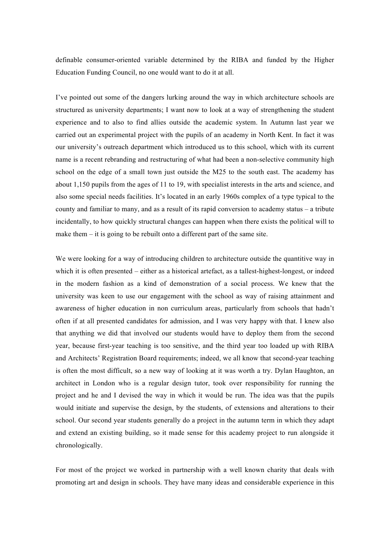definable consumer-oriented variable determined by the RIBA and funded by the Higher Education Funding Council, no one would want to do it at all.

I've pointed out some of the dangers lurking around the way in which architecture schools are structured as university departments; I want now to look at a way of strengthening the student experience and to also to find allies outside the academic system. In Autumn last year we carried out an experimental project with the pupils of an academy in North Kent. In fact it was our university's outreach department which introduced us to this school, which with its current name is a recent rebranding and restructuring of what had been a non-selective community high school on the edge of a small town just outside the M25 to the south east. The academy has about 1,150 pupils from the ages of 11 to 19, with specialist interests in the arts and science, and also some special needs facilities. It's located in an early 1960s complex of a type typical to the county and familiar to many, and as a result of its rapid conversion to academy status – a tribute incidentally, to how quickly structural changes can happen when there exists the political will to make them – it is going to be rebuilt onto a different part of the same site.

We were looking for a way of introducing children to architecture outside the quantitive way in which it is often presented – either as a historical artefact, as a tallest-highest-longest, or indeed in the modern fashion as a kind of demonstration of a social process. We knew that the university was keen to use our engagement with the school as way of raising attainment and awareness of higher education in non curriculum areas, particularly from schools that hadn't often if at all presented candidates for admission, and I was very happy with that. I knew also that anything we did that involved our students would have to deploy them from the second year, because first-year teaching is too sensitive, and the third year too loaded up with RIBA and Architects' Registration Board requirements; indeed, we all know that second-year teaching is often the most difficult, so a new way of looking at it was worth a try. Dylan Haughton, an architect in London who is a regular design tutor, took over responsibility for running the project and he and I devised the way in which it would be run. The idea was that the pupils would initiate and supervise the design, by the students, of extensions and alterations to their school. Our second year students generally do a project in the autumn term in which they adapt and extend an existing building, so it made sense for this academy project to run alongside it chronologically.

For most of the project we worked in partnership with a well known charity that deals with promoting art and design in schools. They have many ideas and considerable experience in this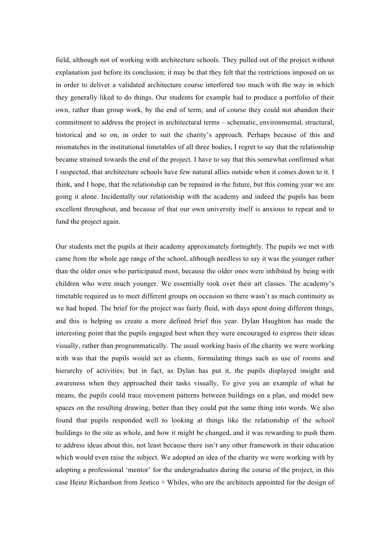field, although not of working with architecture schools. They pulled out of the project without explanation just before its conclusion; it may be that they felt that the restrictions imposed on us in order to deliver a validated architecture course interfered too much with the way in which they generally liked to do things. Our students for example had to produce a portfolio of their own, rather than group work, by the end of term; and of course they could not abandon their commitment to address the project in architectural terms – schematic, environmental, structural, historical and so on, in order to suit the charity's approach. Perhaps because of this and mismatches in the institutional timetables of all three bodies, I regret to say that the relationship became strained towards the end of the project. I have to say that this somewhat confirmed what I suspected, that architecture schools have few natural allies outside when it comes down to it. I think, and I hope, that the relationship can be repaired in the future, but this coming year we are going it alone. Incidentally our relationship with the academy and indeed the pupils has been excellent throughout, and because of that our own university itself is anxious to repeat and to fund the project again.

Our students met the pupils at their academy approximately fortnightly. The pupils we met with came from the whole age range of the school, although needless to say it was the younger rather than the older ones who participated most, because the older ones were inhibited by being with children who were much younger. We essentially took over their art classes. The academy's timetable required us to meet different groups on occasion so there wasn't as much continuity as we had hoped. The brief for the project was fairly fluid, with days spent doing different things, and this is helping us create a more defined brief this year. Dylan Haughton has made the interesting point that the pupils engaged best when they were encouraged to express their ideas visually, rather than programmatically. The usual working basis of the charity we were working with was that the pupils would act as clients, formulating things such as use of rooms and hierarchy of activities; but in fact, as Dylan has put it, the pupils displayed insight and awareness when they approached their tasks visually, To give you an example of what he means, the pupils could trace movement patterns between buildings on a plan, and model new spaces on the resulting drawing, better than they could put the same thing into words. We also found that pupils responded well to looking at things like the relationship of the school buildings to the site as whole, and how it might be changed, and it was rewarding to push them to address ideas about this, not least because there isn't any other framework in their education which would even raise the subject. We adopted an idea of the charity we were working with by adopting a professional 'mentor' for the undergraduates during the course of the project, in this case Heinz Richardson from Jestico + Whiles, who are the architects appointed for the design of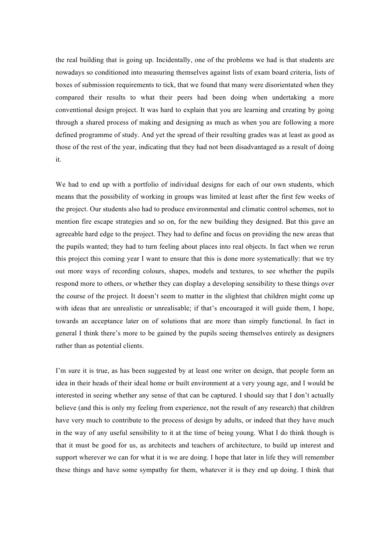the real building that is going up. Incidentally, one of the problems we had is that students are nowadays so conditioned into measuring themselves against lists of exam board criteria, lists of boxes of submission requirements to tick, that we found that many were disorientated when they compared their results to what their peers had been doing when undertaking a more conventional design project. It was hard to explain that you are learning and creating by going through a shared process of making and designing as much as when you are following a more defined programme of study. And yet the spread of their resulting grades was at least as good as those of the rest of the year, indicating that they had not been disadvantaged as a result of doing it.

We had to end up with a portfolio of individual designs for each of our own students, which means that the possibility of working in groups was limited at least after the first few weeks of the project. Our students also had to produce environmental and climatic control schemes, not to mention fire escape strategies and so on, for the new building they designed. But this gave an agreeable hard edge to the project. They had to define and focus on providing the new areas that the pupils wanted; they had to turn feeling about places into real objects. In fact when we rerun this project this coming year I want to ensure that this is done more systematically: that we try out more ways of recording colours, shapes, models and textures, to see whether the pupils respond more to others, or whether they can display a developing sensibility to these things over the course of the project. It doesn't seem to matter in the slightest that children might come up with ideas that are unrealistic or unrealisable; if that's encouraged it will guide them, I hope, towards an acceptance later on of solutions that are more than simply functional. In fact in general I think there's more to be gained by the pupils seeing themselves entirely as designers rather than as potential clients.

I'm sure it is true, as has been suggested by at least one writer on design, that people form an idea in their heads of their ideal home or built environment at a very young age, and I would be interested in seeing whether any sense of that can be captured. I should say that I don't actually believe (and this is only my feeling from experience, not the result of any research) that children have very much to contribute to the process of design by adults, or indeed that they have much in the way of any useful sensibility to it at the time of being young. What I do think though is that it must be good for us, as architects and teachers of architecture, to build up interest and support wherever we can for what it is we are doing. I hope that later in life they will remember these things and have some sympathy for them, whatever it is they end up doing. I think that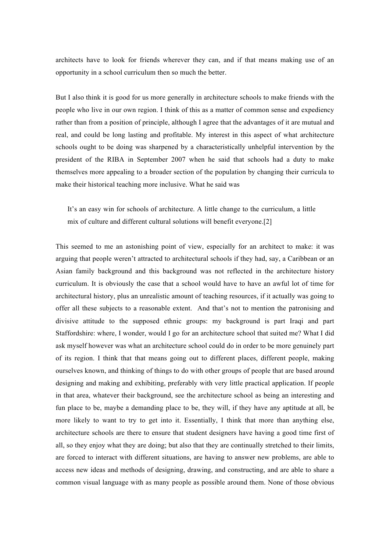architects have to look for friends wherever they can, and if that means making use of an opportunity in a school curriculum then so much the better.

But I also think it is good for us more generally in architecture schools to make friends with the people who live in our own region. I think of this as a matter of common sense and expediency rather than from a position of principle, although I agree that the advantages of it are mutual and real, and could be long lasting and profitable. My interest in this aspect of what architecture schools ought to be doing was sharpened by a characteristically unhelpful intervention by the president of the RIBA in September 2007 when he said that schools had a duty to make themselves more appealing to a broader section of the population by changing their curricula to make their historical teaching more inclusive. What he said was

It's an easy win for schools of architecture. A little change to the curriculum, a little mix of culture and different cultural solutions will benefit everyone.[2]

This seemed to me an astonishing point of view, especially for an architect to make: it was arguing that people weren't attracted to architectural schools if they had, say, a Caribbean or an Asian family background and this background was not reflected in the architecture history curriculum. It is obviously the case that a school would have to have an awful lot of time for architectural history, plus an unrealistic amount of teaching resources, if it actually was going to offer all these subjects to a reasonable extent. And that's not to mention the patronising and divisive attitude to the supposed ethnic groups: my background is part Iraqi and part Staffordshire: where, I wonder, would I go for an architecture school that suited me? What I did ask myself however was what an architecture school could do in order to be more genuinely part of its region. I think that that means going out to different places, different people, making ourselves known, and thinking of things to do with other groups of people that are based around designing and making and exhibiting, preferably with very little practical application. If people in that area, whatever their background, see the architecture school as being an interesting and fun place to be, maybe a demanding place to be, they will, if they have any aptitude at all, be more likely to want to try to get into it. Essentially, I think that more than anything else, architecture schools are there to ensure that student designers have having a good time first of all, so they enjoy what they are doing; but also that they are continually stretched to their limits, are forced to interact with different situations, are having to answer new problems, are able to access new ideas and methods of designing, drawing, and constructing, and are able to share a common visual language with as many people as possible around them. None of those obvious